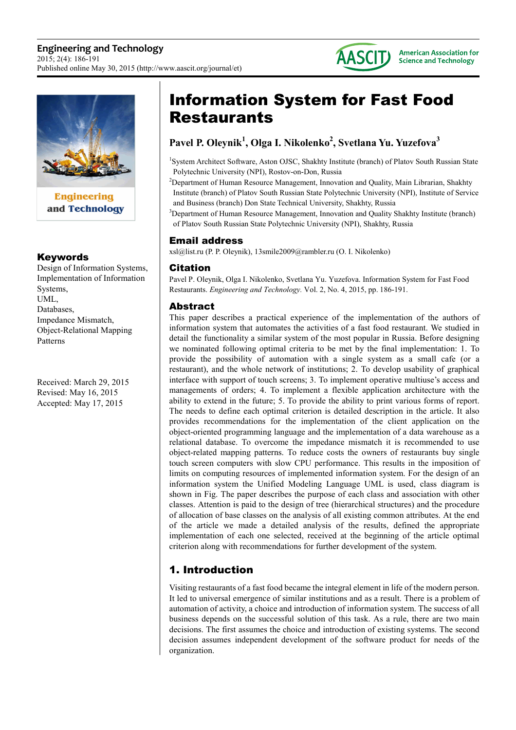



**Engineering** and Technology

### Keywords

Design of Information Systems, Implementation of Information Systems, UML, Databases, Impedance Mismatch, Object-Relational Mapping Patterns

Received: March 29, 2015 Revised: May 16, 2015 Accepted: May 17, 2015

# Information System for Fast Food Restaurants

## **Pavel P. Oleynik<sup>1</sup> , Olga I. Nikolenko<sup>2</sup> , Svetlana Yu. Yuzefova<sup>3</sup>**

<sup>1</sup>System Architect Software, Aston OJSC, Shakhty Institute (branch) of Platov South Russian State Polytechnic University (NPI), Rostov-on-Don, Russia

<sup>2</sup>Department of Human Resource Management, Innovation and Quality, Main Librarian, Shakhty Institute (branch) of Platov South Russian State Polytechnic University (NPI), Institute of Service and Business (branch) Don State Technical University, Shakhty, Russia

<sup>3</sup>Department of Human Resource Management, Innovation and Quality Shakhty Institute (branch) of Platov South Russian State Polytechnic University (NPI), Shakhty, Russia

### Email address

xsl@list.ru (P. P. Oleynik), 13smile2009@rambler.ru (O. I. Nikolenko)

### Citation

Pavel P. Oleynik, Olga I. Nikolenko, Svetlana Yu. Yuzefova. Information System for Fast Food Restaurants. *Engineering and Technology.* Vol. 2, No. 4, 2015, pp. 186-191.

### Abstract

This paper describes a practical experience of the implementation of the authors of information system that automates the activities of a fast food restaurant. We studied in detail the functionality a similar system of the most popular in Russia. Before designing we nominated following optimal criteria to be met by the final implementation: 1. To provide the possibility of automation with a single system as a small cafe (or a restaurant), and the whole network of institutions; 2. To develop usability of graphical interface with support of touch screens; 3. To implement operative multiuse's access and managements of orders; 4. To implement a flexible application architecture with the ability to extend in the future; 5. To provide the ability to print various forms of report. The needs to define each optimal criterion is detailed description in the article. It also provides recommendations for the implementation of the client application on the object-oriented programming language and the implementation of a data warehouse as a relational database. To overcome the impedance mismatch it is recommended to use object-related mapping patterns. To reduce costs the owners of restaurants buy single touch screen computers with slow CPU performance. This results in the imposition of limits on computing resources of implemented information system. For the design of an information system the Unified Modeling Language UML is used, class diagram is shown in Fig. The paper describes the purpose of each class and association with other classes. Attention is paid to the design of tree (hierarchical structures) and the procedure of allocation of base classes on the analysis of all existing common attributes. At the end of the article we made a detailed analysis of the results, defined the appropriate implementation of each one selected, received at the beginning of the article optimal criterion along with recommendations for further development of the system.

### 1. Introduction

Visiting restaurants of a fast food became the integral element in life of the modern person. It led to universal emergence of similar institutions and as a result. There is a problem of automation of activity, a choice and introduction of information system. The success of all business depends on the successful solution of this task. As a rule, there are two main decisions. The first assumes the choice and introduction of existing systems. The second decision assumes independent development of the software product for needs of the organization.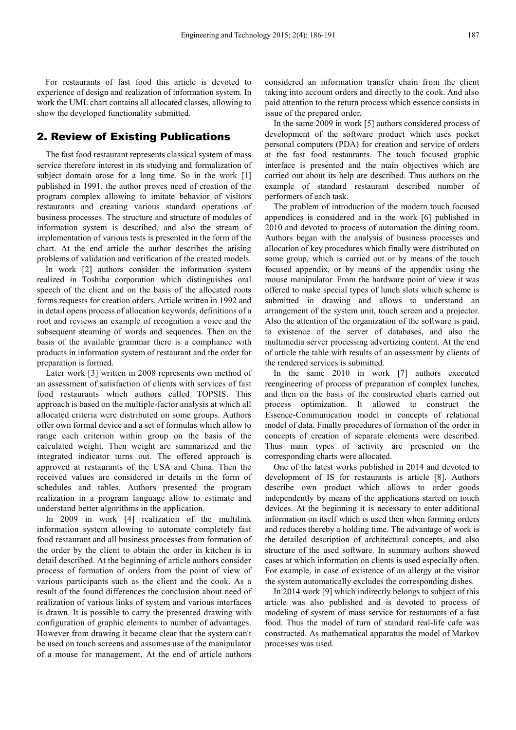For restaurants of fast food this article is devoted to experience of design and realization of information system. In work the UML chart contains all allocated classes, allowing to show the developed functionality submitted.

### 2. Review of Existing Publications

The fast food restaurant represents classical system of mass service therefore interest in its studying and formalization of subject domain arose for a long time. So in the work [1] published in 1991, the author proves need of creation of the program complex allowing to imitate behavior of visitors restaurants and creating various standard operations of business processes. The structure and structure of modules of information system is described, and also the stream of implementation of various tests is presented in the form of the chart. At the end article the author describes the arising problems of validation and verification of the created models.

In work [2] authors consider the information system realized in Toshiba corporation which distinguishes oral speech of the client and on the basis of the allocated roots forms requests for creation orders. Article written in 1992 and in detail opens process of allocation keywords, definitions of a root and reviews an example of recognition a voice and the subsequent steaming of words and sequences. Then on the basis of the available grammar there is a compliance with products in information system of restaurant and the order for preparation is formed.

Later work [3] written in 2008 represents own method of an assessment of satisfaction of clients with services of fast food restaurants which authors called TOPSIS. This approach is based on the multiple-factor analysis at which all allocated criteria were distributed on some groups. Authors offer own formal device and a set of formulas which allow to range each criterion within group on the basis of the calculated weight. Then weight are summarized and the integrated indicator turns out. The offered approach is approved at restaurants of the USA and China. Then the received values are considered in details in the form of schedules and tables. Authors presented the program realization in a program language allow to estimate and understand better algorithms in the application.

In 2009 in work [4] realization of the multilink information system allowing to automate completely fast food restaurant and all business processes from formation of the order by the client to obtain the order in kitchen is in detail described. At the beginning of article authors consider process of formation of orders from the point of view of various participants such as the client and the cook. As a result of the found differences the conclusion about need of realization of various links of system and various interfaces is drawn. It is possible to carry the presented drawing with configuration of graphic elements to number of advantages. However from drawing it became clear that the system can't be used on touch screens and assumes use of the manipulator of a mouse for management. At the end of article authors

considered an information transfer chain from the client taking into account orders and directly to the cook. And also paid attention to the return process which essence consists in issue of the prepared order.

In the same 2009 in work [5] authors considered process of development of the software product which uses pocket personal computers (PDA) for creation and service of orders at the fast food restaurants. The touch focused graphic interface is presented and the main objectives which are carried out about its help are described. Thus authors on the example of standard restaurant described number of performers of each task.

The problem of introduction of the modern touch focused appendices is considered and in the work [6] published in 2010 and devoted to process of automation the dining room. Authors began with the analysis of business processes and allocation of key procedures which finally were distributed on some group, which is carried out or by means of the touch focused appendix, or by means of the appendix using the mouse manipulator. From the hardware point of view it was offered to make special types of lunch slots which scheme is submitted in drawing and allows to understand an arrangement of the system unit, touch screen and a projector. Also the attention of the organization of the software is paid, to existence of the server of databases, and also the multimedia server processing advertizing content. At the end of article the table with results of an assessment by clients of the rendered services is submitted.

In the same 2010 in work [7] authors executed reengineering of process of preparation of complex lunches, and then on the basis of the constructed charts carried out process optimization. It allowed to construct the Essence-Communication model in concepts of relational model of data. Finally procedures of formation of the order in concepts of creation of separate elements were described. Thus main types of activity are presented on the corresponding charts were allocated.

One of the latest works published in 2014 and devoted to development of IS for restaurants is article [8]. Authors describe own product which allows to order goods independently by means of the applications started on touch devices. At the beginning it is necessary to enter additional information on itself which is used then when forming orders and reduces thereby a holding time. The advantage of work is the detailed description of architectural concepts, and also structure of the used software. In summary authors showed cases at which information on clients is used especially often. For example, in case of existence of an allergy at the visitor the system automatically excludes the corresponding dishes.

In 2014 work [9] which indirectly belongs to subject of this article was also published and is devoted to process of modeling of system of mass service for restaurants of a fast food. Thus the model of turn of standard real-life cafe was constructed. As mathematical apparatus the model of Markov processes was used.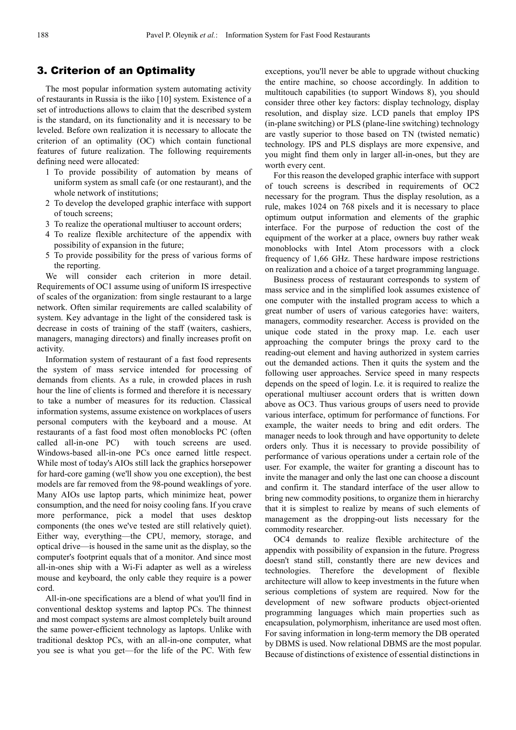#### 3. Criterion of an Optimality

The most popular information system automating activity of restaurants in Russia is the iiko [10] system. Existence of a set of introductions allows to claim that the described system is the standard, on its functionality and it is necessary to be leveled. Before own realization it is necessary to allocate the criterion of an optimality (OC) which contain functional features of future realization. The following requirements defining need were allocated:

- 1 To provide possibility of automation by means of uniform system as small cafe (or one restaurant), and the whole network of institutions;
- 2 To develop the developed graphic interface with support of touch screens;
- 3 To realize the operational multiuser to account orders;
- 4 To realize flexible architecture of the appendix with possibility of expansion in the future;
- 5 To provide possibility for the press of various forms of the reporting.

We will consider each criterion in more detail. Requirements of OC1 assume using of uniform IS irrespective of scales of the organization: from single restaurant to a large network. Often similar requirements are called scalability of system. Key advantage in the light of the considered task is decrease in costs of training of the staff (waiters, cashiers, managers, managing directors) and finally increases profit on activity.

Information system of restaurant of a fast food represents the system of mass service intended for processing of demands from clients. As a rule, in crowded places in rush hour the line of clients is formed and therefore it is necessary to take a number of measures for its reduction. Classical information systems, assume existence on workplaces of users personal computers with the keyboard and a mouse. At restaurants of a fast food most often monoblocks PC (often called all-in-one PC) with touch screens are used. Windows-based all-in-one PCs once earned little respect. While most of today's AIOs still lack the graphics horsepower for hard-core gaming (we'll show you one exception), the best models are far removed from the 98-pound weaklings of yore. Many AIOs use laptop parts, which minimize heat, power consumption, and the need for noisy cooling fans. If you crave more performance, pick a model that uses desktop components (the ones we've tested are still relatively quiet). Either way, everything—the CPU, memory, storage, and optical drive—is housed in the same unit as the display, so the computer's footprint equals that of a monitor. And since most all-in-ones ship with a Wi-Fi adapter as well as a wireless mouse and keyboard, the only cable they require is a power cord.

All-in-one specifications are a blend of what you'll find in conventional desktop systems and laptop PCs. The thinnest and most compact systems are almost completely built around the same power-efficient technology as laptops. Unlike with traditional desktop PCs, with an all-in-one computer, what you see is what you get—for the life of the PC. With few

exceptions, you'll never be able to upgrade without chucking the entire machine, so choose accordingly. In addition to multitouch capabilities (to support Windows 8), you should consider three other key factors: display technology, display resolution, and display size. LCD panels that employ IPS (in-plane switching) or PLS (plane-line switching) technology are vastly superior to those based on TN (twisted nematic) technology. IPS and PLS displays are more expensive, and you might find them only in larger all-in-ones, but they are worth every cent.

For this reason the developed graphic interface with support of touch screens is described in requirements of OC2 necessary for the program. Thus the display resolution, as a rule, makes 1024 on 768 pixels and it is necessary to place optimum output information and elements of the graphic interface. For the purpose of reduction the cost of the equipment of the worker at a place, owners buy rather weak monoblocks with Intel Atom processors with a clock frequency of 1,66 GHz. These hardware impose restrictions on realization and a choice of a target programming language.

Business process of restaurant corresponds to system of mass service and in the simplified look assumes existence of one computer with the installed program access to which a great number of users of various categories have: waiters, managers, commodity researcher. Access is provided on the unique code stated in the proxy map. I.e. each user approaching the computer brings the proxy card to the reading-out element and having authorized in system carries out the demanded actions. Then it quits the system and the following user approaches. Service speed in many respects depends on the speed of login. I.e. it is required to realize the operational multiuser account orders that is written down above as OC3. Thus various groups of users need to provide various interface, optimum for performance of functions. For example, the waiter needs to bring and edit orders. The manager needs to look through and have opportunity to delete orders only. Thus it is necessary to provide possibility of performance of various operations under a certain role of the user. For example, the waiter for granting a discount has to invite the manager and only the last one can choose a discount and confirm it. The standard interface of the user allow to bring new commodity positions, to organize them in hierarchy that it is simplest to realize by means of such elements of management as the dropping-out lists necessary for the commodity researcher.

OC4 demands to realize flexible architecture of the appendix with possibility of expansion in the future. Progress doesn't stand still, constantly there are new devices and technologies. Therefore the development of flexible architecture will allow to keep investments in the future when serious completions of system are required. Now for the development of new software products object-oriented programming languages which main properties such as encapsulation, polymorphism, inheritance are used most often. For saving information in long-term memory the DB operated by DBMS is used. Now relational DBMS are the most popular. Because of distinctions of existence of essential distinctions in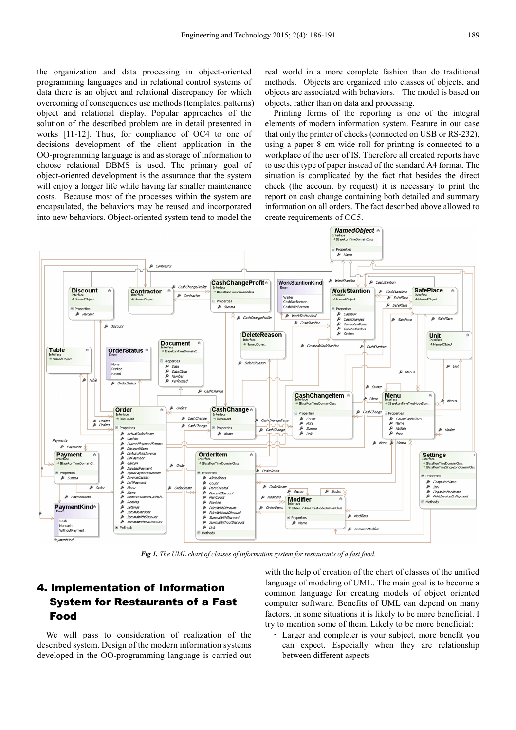the organization and data processing in object-oriented programming languages and in relational control systems of data there is an object and relational discrepancy for which overcoming of consequences use methods (templates, patterns) object and relational display. Popular approaches of the solution of the described problem are in detail presented in works [11-12]. Thus, for compliance of OC4 to one of decisions development of the client application in the OO-programming language is and as storage of information to choose relational DBMS is used. The primary goal of object-oriented development is the assurance that the system will enjoy a longer life while having far smaller maintenance costs. Because most of the processes within the system are encapsulated, the behaviors may be reused and incorporated into new behaviors. Object-oriented system tend to model the

real world in a more complete fashion than do traditional methods. Objects are organized into classes of objects, and objects are associated with behaviors. The model is based on objects, rather than on data and processing.

Printing forms of the reporting is one of the integral elements of modern information system. Feature in our case that only the printer of checks (connected on USB or RS-232), using a paper 8 cm wide roll for printing is connected to a workplace of the user of IS. Therefore all created reports have to use this type of paper instead of the standard A4 format. The situation is complicated by the fact that besides the direct check (the account by request) it is necessary to print the report on cash change containing both detailed and summary information on all orders. The fact described above allowed to create requirements of OC5.



*Fig 1. The UML chart of classes of information system for restaurants of a fast food.* 

### 4. Implementation of Information System for Restaurants of a Fast Food

We will pass to consideration of realization of the described system. Design of the modern information systems developed in the OO-programming language is carried out with the help of creation of the chart of classes of the unified language of modeling of UML. The main goal is to become a common language for creating models of object oriented computer software. Benefits of UML can depend on many factors. In some situations it is likely to be more beneficial. I try to mention some of them. Likely to be more beneficial:

 Larger and completer is your subject, more benefit you can expect. Especially when they are relationship between different aspects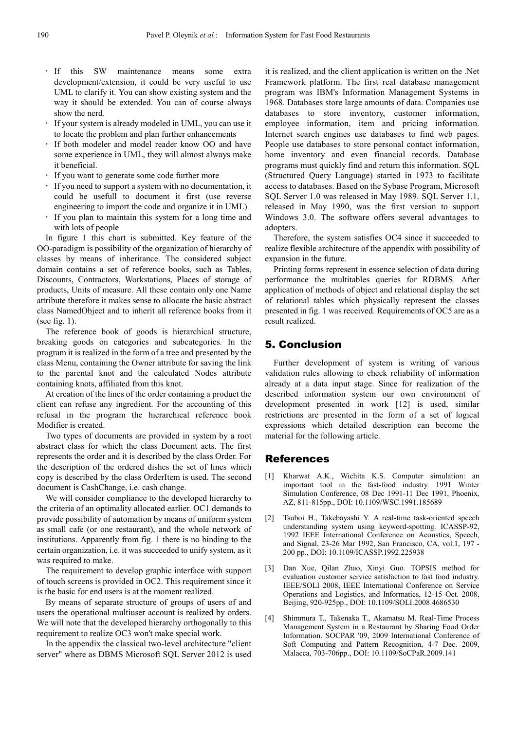- If this SW maintenance means some extra development/extension, it could be very useful to use UML to clarify it. You can show existing system and the way it should be extended. You can of course always show the nerd.
- If your system is already modeled in UML, you can use it to locate the problem and plan further enhancements
- If both modeler and model reader know OO and have some experience in UML, they will almost always make it beneficial.
- If you want to generate some code further more
- If you need to support a system with no documentation, it could be usefull to document it first (use reverse engineering to import the code and organize it in UML)
- If you plan to maintain this system for a long time and with lots of people

In figure 1 this chart is submitted. Key feature of the OO-paradigm is possibility of the organization of hierarchy of classes by means of inheritance. The considered subject domain contains a set of reference books, such as Tables, Discounts, Contractors, Workstations, Places of storage of products, Units of measure. All these contain only one Name attribute therefore it makes sense to allocate the basic abstract class NamedObject and to inherit all reference books from it (see fig. 1).

The reference book of goods is hierarchical structure, breaking goods on categories and subcategories. In the program it is realized in the form of a tree and presented by the class Menu, containing the Owner attribute for saving the link to the parental knot and the calculated Nodes attribute containing knots, affiliated from this knot.

At creation of the lines of the order containing a product the client can refuse any ingredient. For the accounting of this refusal in the program the hierarchical reference book Modifier is created.

Two types of documents are provided in system by a root abstract class for which the class Document acts. The first represents the order and it is described by the class Order. For the description of the ordered dishes the set of lines which copy is described by the class OrderItem is used. The second document is CashChange, i.e. cash change.

We will consider compliance to the developed hierarchy to the criteria of an optimality allocated earlier. OC1 demands to provide possibility of automation by means of uniform system as small cafe (or one restaurant), and the whole network of institutions. Apparently from fig. 1 there is no binding to the certain organization, i.e. it was succeeded to unify system, as it was required to make.

The requirement to develop graphic interface with support of touch screens is provided in OC2. This requirement since it is the basic for end users is at the moment realized.

By means of separate structure of groups of users of and users the operational multiuser account is realized by orders. We will note that the developed hierarchy orthogonally to this requirement to realize OC3 won't make special work.

In the appendix the classical two-level architecture "client server" where as DBMS Microsoft SQL Server 2012 is used it is realized, and the client application is written on the .Net Framework platform. The first real database management program was IBM's Information Management Systems in 1968. Databases store large amounts of data. Companies use databases to store inventory, customer information, employee information, item and pricing information. Internet search engines use databases to find web pages. People use databases to store personal contact information, home inventory and even financial records. Database programs must quickly find and return this information. SQL (Structured Query Language) started in 1973 to facilitate access to databases. Based on the Sybase Program, Microsoft SQL Server 1.0 was released in May 1989. SQL Server 1.1, released in May 1990, was the first version to support Windows 3.0. The software offers several advantages to adopters.

Therefore, the system satisfies OC4 since it succeeded to realize flexible architecture of the appendix with possibility of expansion in the future.

Printing forms represent in essence selection of data during performance the multitables queries for RDBMS. After application of methods of object and relational display the set of relational tables which physically represent the classes presented in fig. 1 was received. Requirements of OC5 are as a result realized.

#### 5. Conclusion

Further development of system is writing of various validation rules allowing to check reliability of information already at a data input stage. Since for realization of the described information system our own environment of development presented in work [12] is used, similar restrictions are presented in the form of a set of logical expressions which detailed description can become the material for the following article.

#### References

- [1] Kharwat A.K., Wichita K.S. Computer simulation: an important tool in the fast-food industry. 1991 Winter Simulation Conference, 08 Dec 1991-11 Dec 1991, Phoenix, AZ, 811-815pp., DOI: 10.1109/WSC.1991.185689
- [2] Tsuboi H., Takebayashi Y. A real-time task-oriented speech understanding system using keyword-spotting. ICASSP-92, 1992 IEEE International Conference on Acoustics, Speech, and Signal, 23-26 Mar 1992, San Francisco, CA, vol.1, 197 - 200 pp., DOI: 10.1109/ICASSP.1992.225938
- [3] Dan Xue, Qilan Zhao, Xinyi Guo. TOPSIS method for evaluation customer service satisfaction to fast food industry. IEEE/SOLI 2008, IEEE International Conference on Service Operations and Logistics, and Informatics, 12-15 Oct. 2008, Beijing, 920-925pp., DOI: 10.1109/SOLI.2008.4686530
- [4] Shimmura T., Takenaka T., Akamatsu M. Real-Time Process Management System in a Restaurant by Sharing Food Order Information. SOCPAR '09, 2009 International Conference of Soft Computing and Pattern Recognition, 4-7 Dec. 2009, Malacca, 703-706pp., DOI: 10.1109/SoCPaR.2009.141